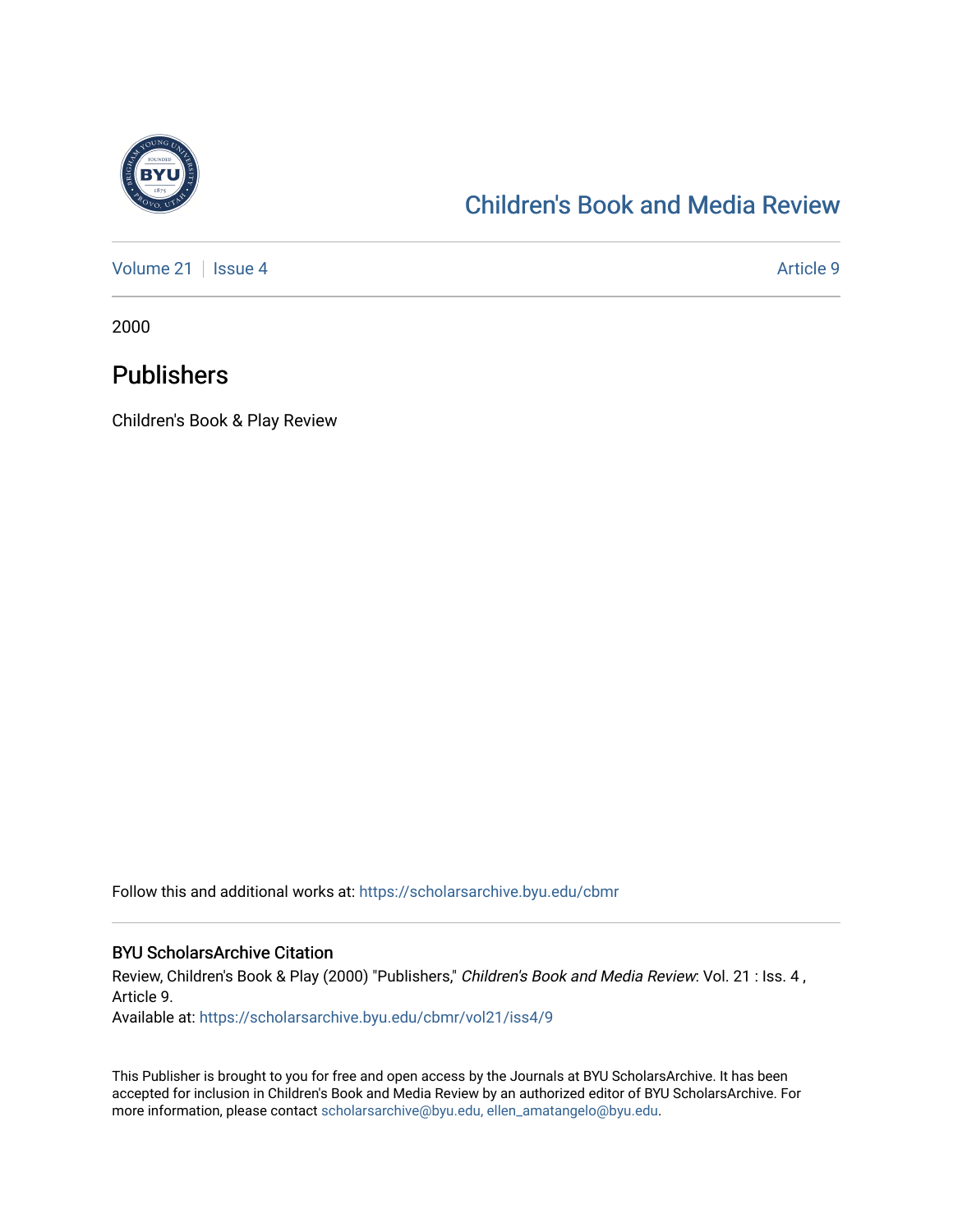

# [Children's Book and Media Review](https://scholarsarchive.byu.edu/cbmr)

[Volume 21](https://scholarsarchive.byu.edu/cbmr/vol21) | [Issue 4](https://scholarsarchive.byu.edu/cbmr/vol21/iss4) Article 9

2000

## Publishers

Children's Book & Play Review

Follow this and additional works at: [https://scholarsarchive.byu.edu/cbmr](https://scholarsarchive.byu.edu/cbmr?utm_source=scholarsarchive.byu.edu%2Fcbmr%2Fvol21%2Fiss4%2F9&utm_medium=PDF&utm_campaign=PDFCoverPages) 

## BYU ScholarsArchive Citation

Review, Children's Book & Play (2000) "Publishers," Children's Book and Media Review: Vol. 21 : Iss. 4, Article 9.

Available at: [https://scholarsarchive.byu.edu/cbmr/vol21/iss4/9](https://scholarsarchive.byu.edu/cbmr/vol21/iss4/9?utm_source=scholarsarchive.byu.edu%2Fcbmr%2Fvol21%2Fiss4%2F9&utm_medium=PDF&utm_campaign=PDFCoverPages) 

This Publisher is brought to you for free and open access by the Journals at BYU ScholarsArchive. It has been accepted for inclusion in Children's Book and Media Review by an authorized editor of BYU ScholarsArchive. For more information, please contact [scholarsarchive@byu.edu, ellen\\_amatangelo@byu.edu.](mailto:scholarsarchive@byu.edu,%20ellen_amatangelo@byu.edu)